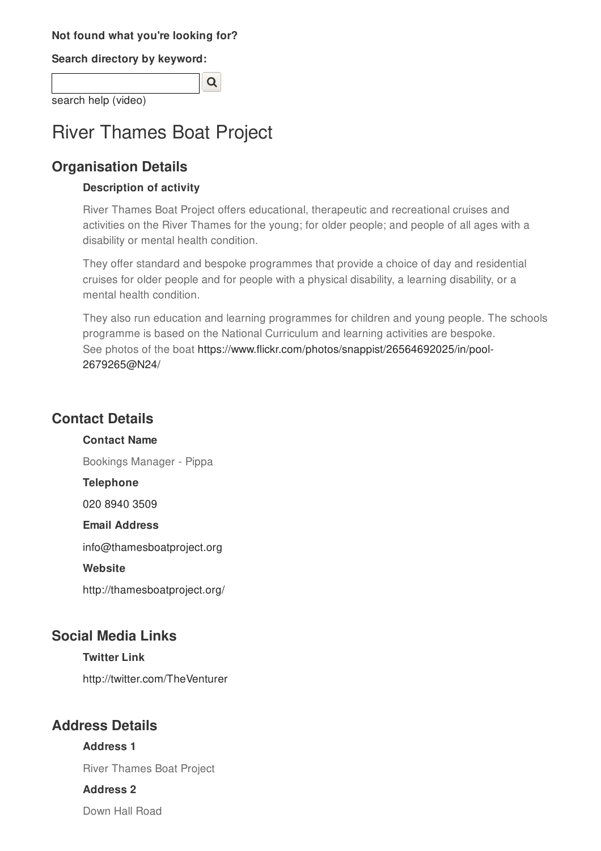#### **Not found what you're looking for?**

**Search directory by keyword:**

 $\overline{Q}$ search help (video)

# River Thames Boat Project

## **Organisation Details**

#### **Description of activity**

River Thames Boat Project offers educational, therapeutic and recreational cruises and activities on the River Thames for the young; for older people; and people of all ages with a disability or mental health condition.

They offer standard and bespoke programmes that provide a choice of day and residential cruises for older people and for people with a physical disability, a learning disability, or a mental health condition.

They also run education and learning programmes for children and young people. The schools programme is based on the National Curriculum and learning activities are bespoke. See photos of the boat https://www.flickr.com/photos/snappist/26564692025/in/pool-2679265@N24/

## **Contact Details**

**Contact Name**

Bookings Manager - Pippa

**Telephone**

020 8940 3509

#### **Email Address**

info@thamesboatproject.org

#### **Website**

http://thamesboatproject.org/

### **Social Media Links**

#### **Twitter Link**

http://twitter.com/TheVenturer

## **Address Details**

#### **Address 1**

River Thames Boat Project

#### **Address 2**

Down Hall Road